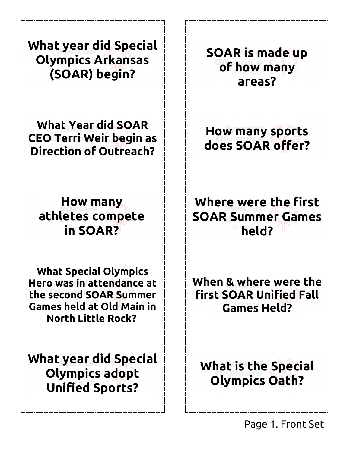| <b>What year did Special</b><br><b>Olympics Arkansas</b><br>(SOAR) begin?                                                                            | <b>SOAR is made up</b><br>of how many<br>areas?                        |
|------------------------------------------------------------------------------------------------------------------------------------------------------|------------------------------------------------------------------------|
| <b>What Year did SOAR</b><br><b>CEO Terri Weir begin as</b><br><b>Direction of Outreach?</b>                                                         | <b>How many sports</b><br>does SOAR offer?                             |
| <b>How many</b><br>athletes compete<br>in SOAR?                                                                                                      | Where were the first<br><b>SOAR Summer Games</b><br>held?              |
| <b>What Special Olympics</b><br>Hero was in attendance at<br>the second SOAR Summer<br><b>Games held at Old Main in</b><br><b>North Little Rock?</b> | When & where were the<br>first SOAR Unified Fall<br><b>Games Held?</b> |
| <b>What year did Special</b><br><b>Olympics adopt</b><br><b>Unified Sports?</b>                                                                      | <b>What is the Special</b><br><b>Olympics Oath?</b>                    |

j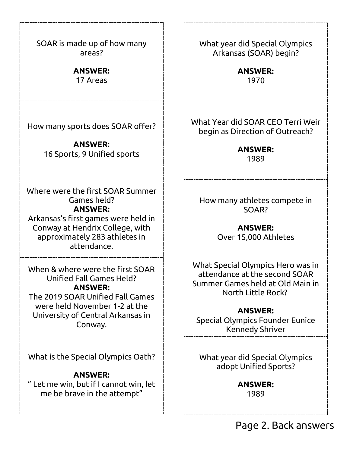| SOAR is made up of how many<br>areas?                                                                                                                                                               |  |
|-----------------------------------------------------------------------------------------------------------------------------------------------------------------------------------------------------|--|
| <b>ANSWER:</b><br>17 Areas                                                                                                                                                                          |  |
| How many sports does SOAR offer?<br><b>ANSWER:</b><br>16 Sports, 9 Unified sports                                                                                                                   |  |
| Where were the first SOAR Summer<br>Games held?<br><b>ANSWER:</b><br>Arkansas's first games were held in<br>Conway at Hendrix College, with<br>approximately 283 athletes in<br>attendance.         |  |
| When & where were the first SOAR<br>Unified Fall Games Held?<br><b>ANSWER:</b><br>The 2019 SOAR Unified Fall Games<br>were held November 1-2 at the<br>University of Central Arkansas in<br>Conway. |  |
| What is the Special Olympics Oath?<br><b>ANSWER:</b><br>" Let me win, but if I cannot win, let<br>me be brave in the attempt"                                                                       |  |

What year did Special Olympics Arkansas (SOAR) begin?

> **ANSWER:**  1970

What Year did SOAR CEO Terri Weir begin as Direction of Outreach?

> **ANSWER:**  1989

How many athletes compete in SOAR?

> **ANSWER:**  Over 15,000 Athletes

What Special Olympics Hero was in attendance at the second SOAR Summer Games held at Old Main in North Little Rock?

**ANSWER:**  Special Olympics Founder Eunice Kennedy Shriver

What year did Special Olympics adopt Unified Sports?

> **ANSWER:** 1989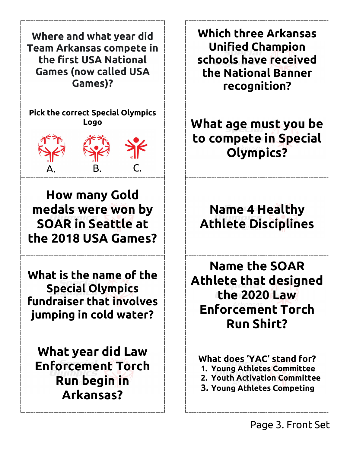**Where and what year did Team Arkansas compete in the first USA National Games (now called USA Games)?**

**Pick the correct Special Olympics Logo** 



**How many Gold medals were won by SOAR in Seattle at the 2018 USA Games?**

**What is the name of the Special Olympics fundraiser that involves jumping in cold water?**

**What year did Law Enforcement Torch Run begin in Arkansas?**

**Which three Arkansas Unified Champion schools have received the National Banner recognition?**

**What age must you be to compete in Special Olympics?** 

**Name 4 Healthy Athlete Disciplines**

**Name the SOAR Athlete that designed the 2020 Law Enforcement Torch Run Shirt?**

**What does 'YAC' stand for? 1. Young Athletes Committee 2. Youth Activation Committee 3. Young Athletes Competing**